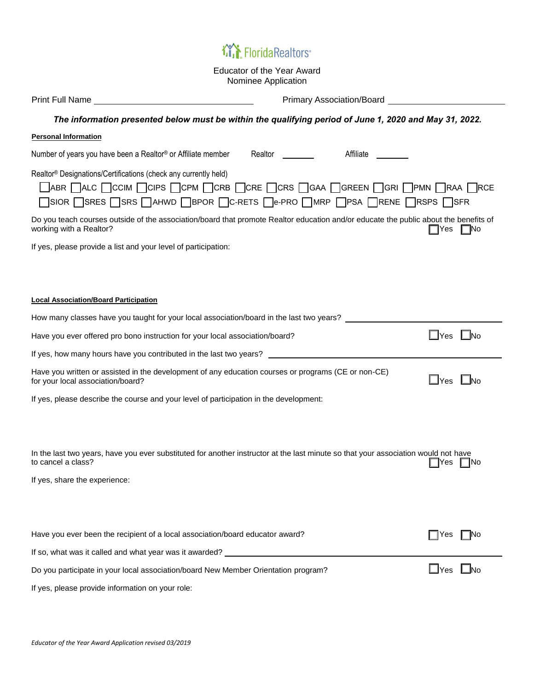## **MA** Florida Realtors®

Educator of the Year Award Nominee Application

|                                                                                                                                                                                                                                                                                                             | <b>Primary Association/Board Contract Contract Contract Contract Contract Contract Contract Contract Contract Contract Contract Contract Contract Contract Contract Contract Contract Contract Contract Contract Contract Cont</b> |  |  |
|-------------------------------------------------------------------------------------------------------------------------------------------------------------------------------------------------------------------------------------------------------------------------------------------------------------|------------------------------------------------------------------------------------------------------------------------------------------------------------------------------------------------------------------------------------|--|--|
| The information presented below must be within the qualifying period of June 1, 2020 and May 31, 2022.                                                                                                                                                                                                      |                                                                                                                                                                                                                                    |  |  |
| <b>Personal Information</b>                                                                                                                                                                                                                                                                                 |                                                                                                                                                                                                                                    |  |  |
| Number of years you have been a Realtor® or Affiliate member<br>Realtor _________                                                                                                                                                                                                                           | Affiliate ________                                                                                                                                                                                                                 |  |  |
| Realtor® Designations/Certifications (check any currently held)<br>$\Box$ abr $\Box$ alc $\Box$ Ccim $\Box$ Cip's $\Box$ CPM $\Box$ CRB $\Box$ CRE $\Box$ CRS $\Box$ GAA $\Box$ GREEN $\Box$ GRI $\Box$ PMN $\Box$ RAA $\Box$ RCE<br>□SIOR □SRES □SRS □AHWD □BPOR □C-RETS □e-PRO □MRP □PSA □RENE □RSPS □SFR |                                                                                                                                                                                                                                    |  |  |
| Do you teach courses outside of the association/board that promote Realtor education and/or educate the public about the benefits of<br>working with a Realtor?                                                                                                                                             | ∏Yes ∏No                                                                                                                                                                                                                           |  |  |
| If yes, please provide a list and your level of participation:                                                                                                                                                                                                                                              |                                                                                                                                                                                                                                    |  |  |
|                                                                                                                                                                                                                                                                                                             |                                                                                                                                                                                                                                    |  |  |
| <b>Local Association/Board Participation</b>                                                                                                                                                                                                                                                                |                                                                                                                                                                                                                                    |  |  |
| How many classes have you taught for your local association/board in the last two years?                                                                                                                                                                                                                    |                                                                                                                                                                                                                                    |  |  |
| Have you ever offered pro bono instruction for your local association/board?                                                                                                                                                                                                                                | $\Box$ Yes $\Box$ No                                                                                                                                                                                                               |  |  |
| If yes, how many hours have you contributed in the last two years? ________________________________                                                                                                                                                                                                         |                                                                                                                                                                                                                                    |  |  |
| Have you written or assisted in the development of any education courses or programs (CE or non-CE)<br>for your local association/board?                                                                                                                                                                    | $\Box$ Yes $\Box$ No                                                                                                                                                                                                               |  |  |
| If yes, please describe the course and your level of participation in the development:                                                                                                                                                                                                                      |                                                                                                                                                                                                                                    |  |  |
|                                                                                                                                                                                                                                                                                                             |                                                                                                                                                                                                                                    |  |  |
| In the last two years, have you ever substituted for another instructor at the last minute so that your association would not have<br>to cancel a class?                                                                                                                                                    | 'es<br>-INo                                                                                                                                                                                                                        |  |  |
| If yes, share the experience:                                                                                                                                                                                                                                                                               |                                                                                                                                                                                                                                    |  |  |
|                                                                                                                                                                                                                                                                                                             |                                                                                                                                                                                                                                    |  |  |
| Have you ever been the recipient of a local association/board educator award?                                                                                                                                                                                                                               | l⊟No<br>$\Box$ Yes                                                                                                                                                                                                                 |  |  |
| If so, what was it called and what year was it awarded?                                                                                                                                                                                                                                                     |                                                                                                                                                                                                                                    |  |  |
| Do you participate in your local association/board New Member Orientation program?                                                                                                                                                                                                                          | $\Box$ Yes $\Box$ No                                                                                                                                                                                                               |  |  |

If yes, please provide information on your role: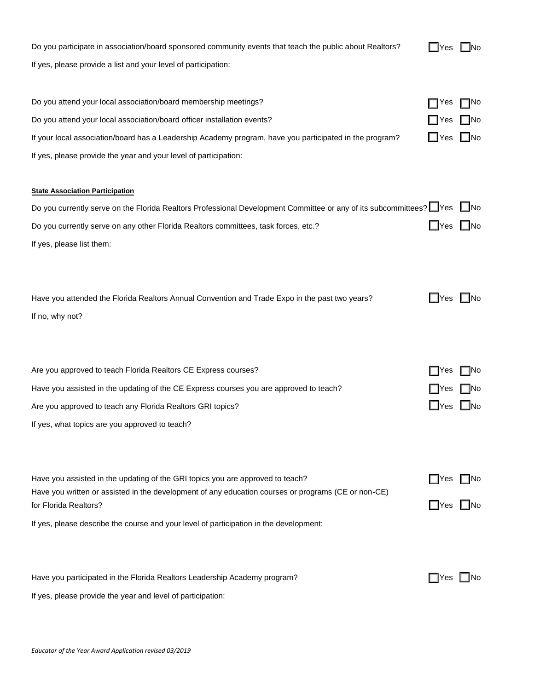Do you participate in association/board sponsored community events that teach the public about Realtors? If yes, please provide a list and your level of participation:

| N٥ |
|----|
|    |

| Do you attend your local association/board membership meetings?                                                       | Yes                  | <b>TNo</b> |
|-----------------------------------------------------------------------------------------------------------------------|----------------------|------------|
| Do you attend your local association/board officer installation events?                                               | <b>IYes</b>          | ∐No        |
| If your local association/board has a Leadership Academy program, have you participated in the program?               | $\Box$ Yes $\Box$ No |            |
| If yes, please provide the year and your level of participation:                                                      |                      |            |
|                                                                                                                       |                      |            |
| <b>State Association Participation</b>                                                                                |                      |            |
| Do you currently serve on the Florida Realtors Professional Development Committee or any of its subcommittees? Ves No |                      |            |
| Do you currently serve on any other Florida Realtors committees, task forces, etc.?                                   | ∐Yes                 | l INo      |
| If yes, please list them:                                                                                             |                      |            |
|                                                                                                                       |                      |            |
|                                                                                                                       |                      |            |
| Have you attended the Florida Realtors Annual Convention and Trade Expo in the past two years?                        | ∐Yes                 | -INo       |
| If no, why not?                                                                                                       |                      |            |
|                                                                                                                       |                      |            |
|                                                                                                                       |                      |            |
| Are you approved to teach Florida Realtors CE Express courses?                                                        | I IYes               | <b>No</b>  |
| Have you assisted in the updating of the CE Express courses you are approved to teach?                                | <b>IYes</b>          | -INo       |
| Are you approved to teach any Florida Realtors GRI topics?                                                            | $\Box$ Yes           | l INo      |
| If yes, what topics are you approved to teach?                                                                        |                      |            |
|                                                                                                                       |                      |            |
|                                                                                                                       |                      |            |
| Have you assisted in the updating of the GRI topics you are approved to teach?                                        | ∏Yes                 | INo        |
| Have you written or assisted in the development of any education courses or programs (CE or non-CE)                   |                      |            |
| for Florida Realtors?                                                                                                 | $\Box$ Yes           | ∐No        |
| If yes, please describe the course and your level of participation in the development:                                |                      |            |
|                                                                                                                       |                      |            |
| Have you participated in the Florida Realtors Leadership Academy program?                                             | $\Box$ Yes           | ∣ ∣No      |
| If yes, please provide the year and level of participation:                                                           |                      |            |